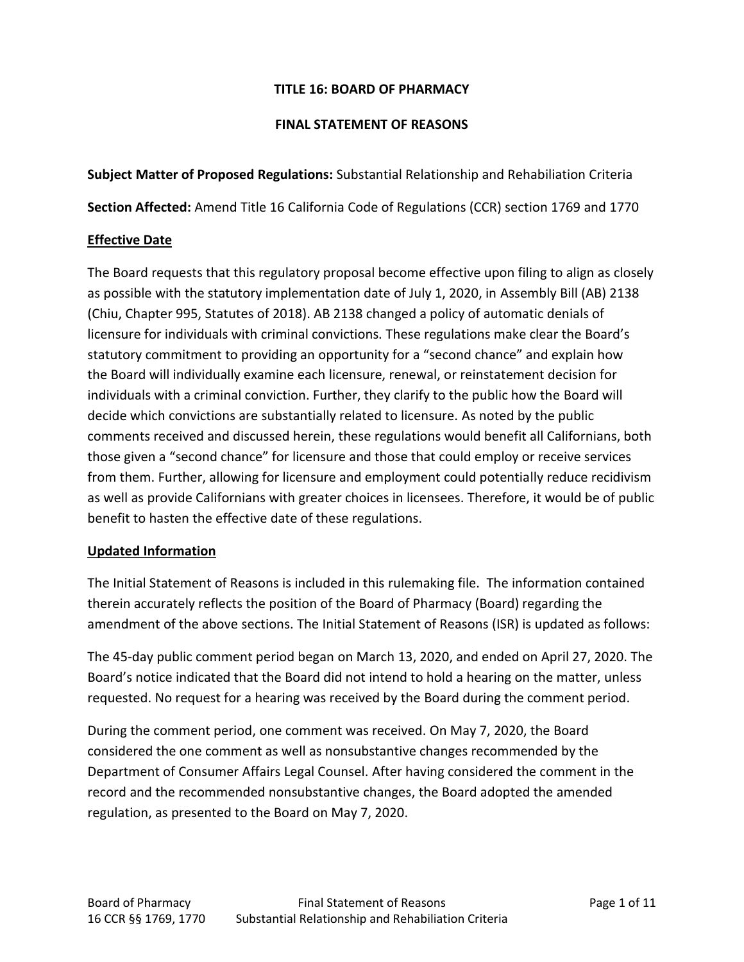### **TITLE 16: BOARD OF PHARMACY**

#### **FINAL STATEMENT OF REASONS**

**Subject Matter of Proposed Regulations:** Substantial Relationship and Rehabiliation Criteria

**Section Affected:** Amend Title 16 California Code of Regulations (CCR) section 1769 and 1770

### **Effective Date**

The Board requests that this regulatory proposal become effective upon filing to align as closely as possible with the statutory implementation date of July 1, 2020, in Assembly Bill (AB) 2138 (Chiu, Chapter 995, Statutes of 2018). AB 2138 changed a policy of automatic denials of licensure for individuals with criminal convictions. These regulations make clear the Board's statutory commitment to providing an opportunity for a "second chance" and explain how the Board will individually examine each licensure, renewal, or reinstatement decision for individuals with a criminal conviction. Further, they clarify to the public how the Board will decide which convictions are substantially related to licensure. As noted by the public comments received and discussed herein, these regulations would benefit all Californians, both those given a "second chance" for licensure and those that could employ or receive services from them. Further, allowing for licensure and employment could potentially reduce recidivism as well as provide Californians with greater choices in licensees. Therefore, it would be of public benefit to hasten the effective date of these regulations.

#### **Updated Information**

The Initial Statement of Reasons is included in this rulemaking file. The information contained therein accurately reflects the position of the Board of Pharmacy (Board) regarding the amendment of the above sections. The Initial Statement of Reasons (ISR) is updated as follows:

The 45-day public comment period began on March 13, 2020, and ended on April 27, 2020. The Board's notice indicated that the Board did not intend to hold a hearing on the matter, unless requested. No request for a hearing was received by the Board during the comment period.

During the comment period, one comment was received. On May 7, 2020, the Board considered the one comment as well as nonsubstantive changes recommended by the Department of Consumer Affairs Legal Counsel. After having considered the comment in the record and the recommended nonsubstantive changes, the Board adopted the amended regulation, as presented to the Board on May 7, 2020.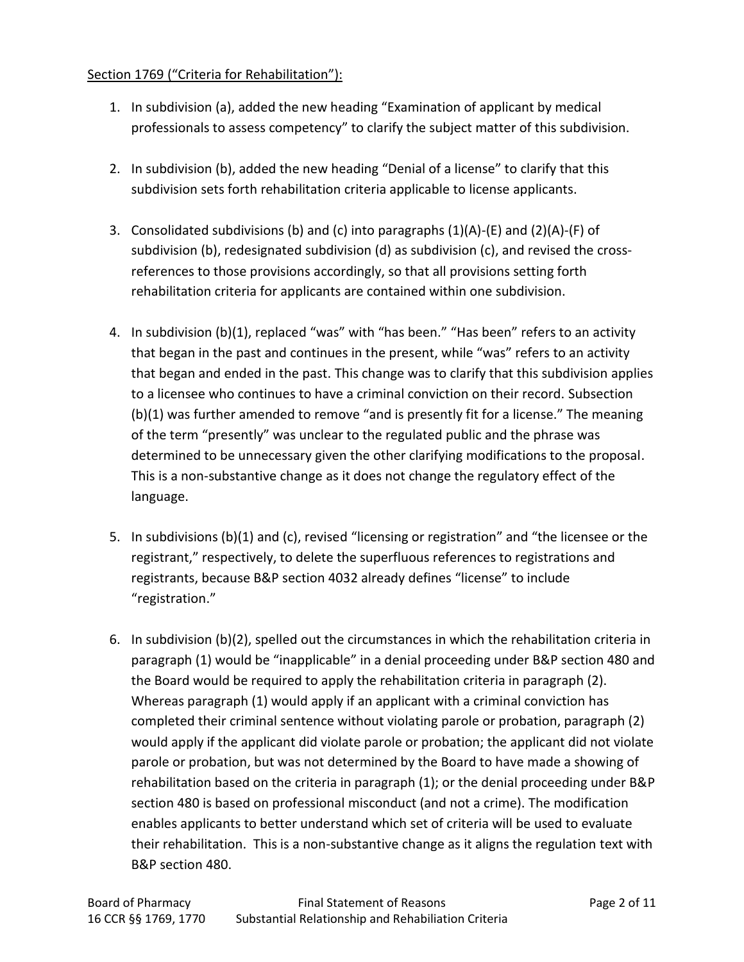## Section 1769 ("Criteria for Rehabilitation"):

- 1. In subdivision (a), added the new heading "Examination of applicant by medical professionals to assess competency" to clarify the subject matter of this subdivision.
- 2. In subdivision (b), added the new heading "Denial of a license" to clarify that this subdivision sets forth rehabilitation criteria applicable to license applicants.
- 3. Consolidated subdivisions (b) and (c) into paragraphs  $(1)(A)-(E)$  and  $(2)(A)-(F)$  of subdivision (b), redesignated subdivision (d) as subdivision (c), and revised the crossreferences to those provisions accordingly, so that all provisions setting forth rehabilitation criteria for applicants are contained within one subdivision.
- 4. In subdivision (b)(1), replaced "was" with "has been." "Has been" refers to an activity that began in the past and continues in the present, while "was" refers to an activity that began and ended in the past. This change was to clarify that this subdivision applies to a licensee who continues to have a criminal conviction on their record. Subsection (b)(1) was further amended to remove "and is presently fit for a license." The meaning of the term "presently" was unclear to the regulated public and the phrase was determined to be unnecessary given the other clarifying modifications to the proposal. This is a non-substantive change as it does not change the regulatory effect of the language.
- 5. In subdivisions (b)(1) and (c), revised "licensing or registration" and "the licensee or the registrant," respectively, to delete the superfluous references to registrations and registrants, because B&P section 4032 already defines "license" to include "registration."
- 6. In subdivision (b)(2), spelled out the circumstances in which the rehabilitation criteria in paragraph (1) would be "inapplicable" in a denial proceeding under B&P section 480 and the Board would be required to apply the rehabilitation criteria in paragraph (2). Whereas paragraph (1) would apply if an applicant with a criminal conviction has completed their criminal sentence without violating parole or probation, paragraph (2) would apply if the applicant did violate parole or probation; the applicant did not violate parole or probation, but was not determined by the Board to have made a showing of rehabilitation based on the criteria in paragraph (1); or the denial proceeding under B&P section 480 is based on professional misconduct (and not a crime). The modification enables applicants to better understand which set of criteria will be used to evaluate their rehabilitation. This is a non-substantive change as it aligns the regulation text with B&P section 480.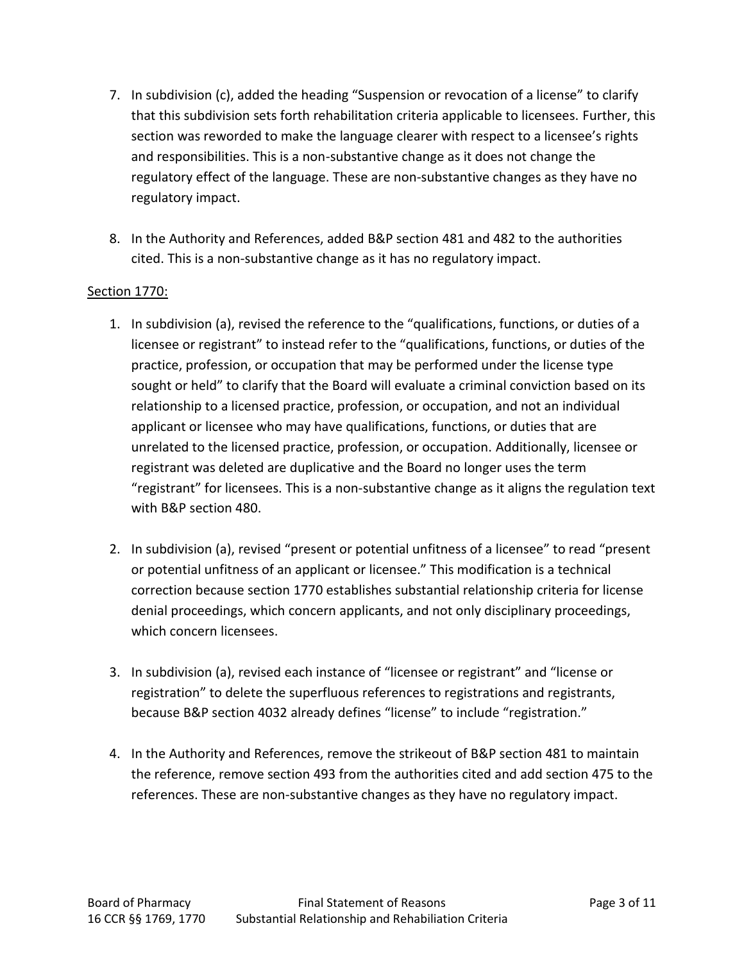- 7. In subdivision (c), added the heading "Suspension or revocation of a license" to clarify that this subdivision sets forth rehabilitation criteria applicable to licensees. Further, this section was reworded to make the language clearer with respect to a licensee's rights and responsibilities. This is a non-substantive change as it does not change the regulatory effect of the language. These are non-substantive changes as they have no regulatory impact.
- 8. In the Authority and References, added B&P section 481 and 482 to the authorities cited. This is a non-substantive change as it has no regulatory impact.

### Section 1770:

- 1. In subdivision (a), revised the reference to the "qualifications, functions, or duties of a licensee or registrant" to instead refer to the "qualifications, functions, or duties of the practice, profession, or occupation that may be performed under the license type sought or held" to clarify that the Board will evaluate a criminal conviction based on its relationship to a licensed practice, profession, or occupation, and not an individual applicant or licensee who may have qualifications, functions, or duties that are unrelated to the licensed practice, profession, or occupation. Additionally, licensee or registrant was deleted are duplicative and the Board no longer uses the term "registrant" for licensees. This is a non-substantive change as it aligns the regulation text with B&P section 480.
- 2. In subdivision (a), revised "present or potential unfitness of a licensee" to read "present or potential unfitness of an applicant or licensee." This modification is a technical correction because section 1770 establishes substantial relationship criteria for license denial proceedings, which concern applicants, and not only disciplinary proceedings, which concern licensees.
- 3. In subdivision (a), revised each instance of "licensee or registrant" and "license or registration" to delete the superfluous references to registrations and registrants, because B&P section 4032 already defines "license" to include "registration."
- 4. In the Authority and References, remove the strikeout of B&P section 481 to maintain the reference, remove section 493 from the authorities cited and add section 475 to the references. These are non-substantive changes as they have no regulatory impact.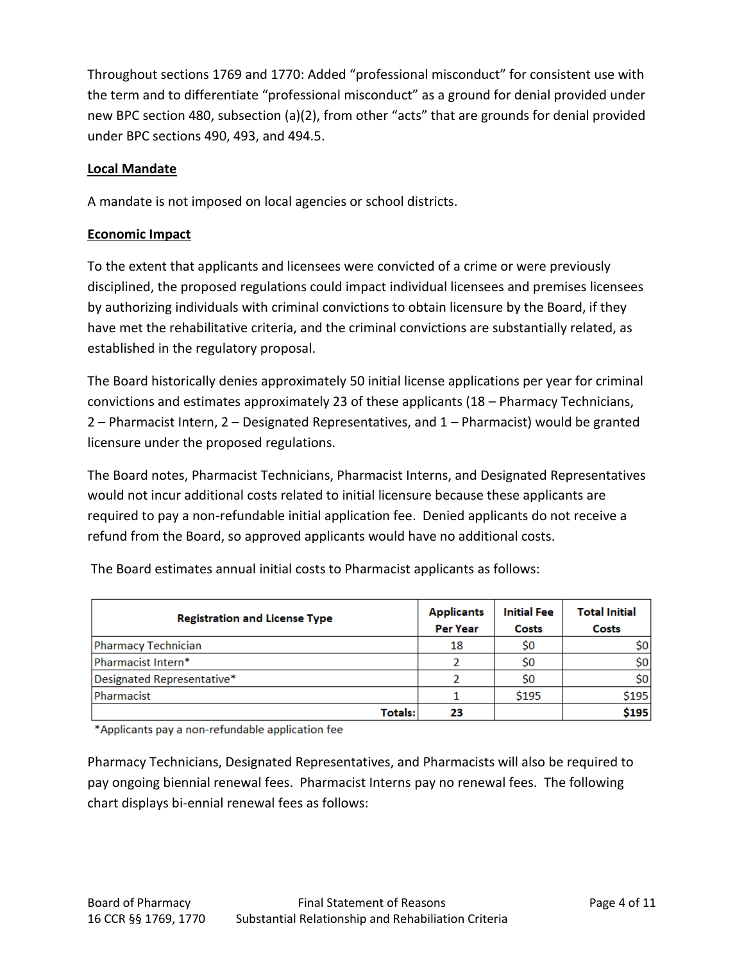Throughout sections 1769 and 1770: Added "professional misconduct" for consistent use with the term and to differentiate "professional misconduct" as a ground for denial provided under new BPC section 480, subsection (a)(2), from other "acts" that are grounds for denial provided under BPC sections 490, 493, and 494.5.

# **Local Mandate**

A mandate is not imposed on local agencies or school districts.

# **Economic Impact**

To the extent that applicants and licensees were convicted of a crime or were previously disciplined, the proposed regulations could impact individual licensees and premises licensees by authorizing individuals with criminal convictions to obtain licensure by the Board, if they have met the rehabilitative criteria, and the criminal convictions are substantially related, as established in the regulatory proposal.

The Board historically denies approximately 50 initial license applications per year for criminal convictions and estimates approximately 23 of these applicants (18 – Pharmacy Technicians, 2 – Pharmacist Intern, 2 – Designated Representatives, and 1 – Pharmacist) would be granted licensure under the proposed regulations.

The Board notes, Pharmacist Technicians, Pharmacist Interns, and Designated Representatives would not incur additional costs related to initial licensure because these applicants are required to pay a non-refundable initial application fee. Denied applicants do not receive a refund from the Board, so approved applicants would have no additional costs.

| <b>Registration and License Type</b> | <b>Applicants</b><br><b>Per Year</b> | <b>Initial Fee</b><br>Costs | <b>Total Initial</b><br>Costs |  |  |
|--------------------------------------|--------------------------------------|-----------------------------|-------------------------------|--|--|
| Pharmacy Technician                  | 18                                   | \$0                         | \$0                           |  |  |
| Pharmacist Intern*                   |                                      | \$0                         | \$0                           |  |  |
| Designated Representative*           |                                      | \$0                         | \$0                           |  |  |
| Pharmacist                           |                                      | \$195                       | \$195                         |  |  |
| Totals:                              | 23                                   |                             | \$195                         |  |  |

The Board estimates annual initial costs to Pharmacist applicants as follows:

\*Applicants pay a non-refundable application fee

Pharmacy Technicians, Designated Representatives, and Pharmacists will also be required to pay ongoing biennial renewal fees. Pharmacist Interns pay no renewal fees. The following chart displays bi-ennial renewal fees as follows: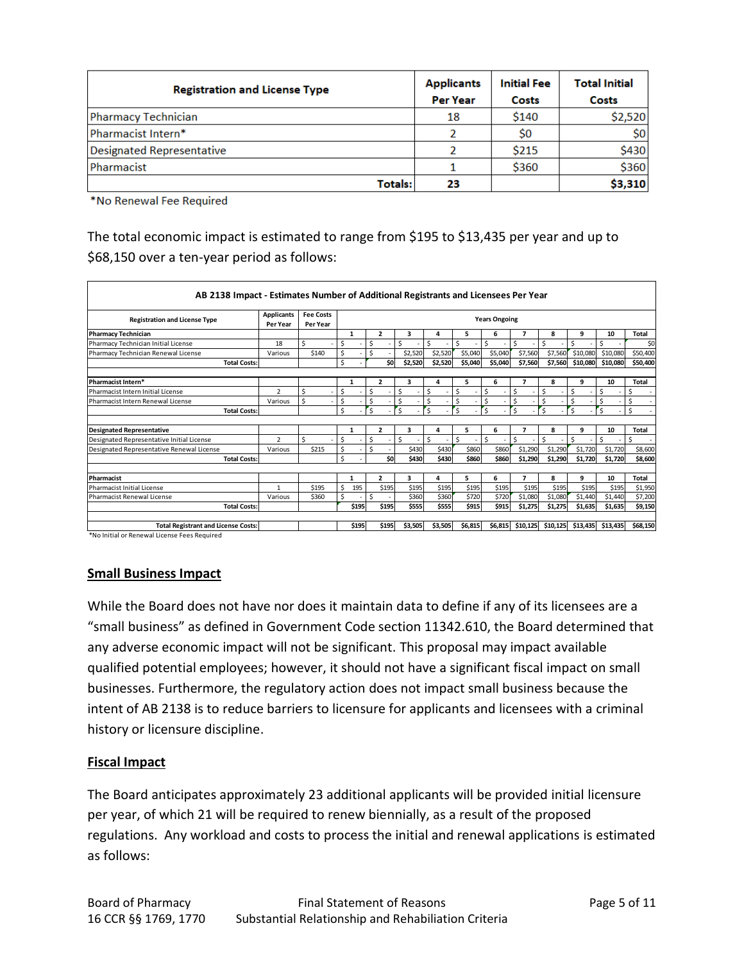| <b>Registration and License Type</b> | <b>Applicants</b> | <b>Initial Fee</b> | <b>Total Initial</b> |  |  |
|--------------------------------------|-------------------|--------------------|----------------------|--|--|
|                                      | <b>Per Year</b>   | Costs              | Costs                |  |  |
| <b>Pharmacy Technician</b>           | 18                | \$140              | \$2,520              |  |  |
| Pharmacist Intern*                   |                   | \$0                | \$0                  |  |  |
| <b>Designated Representative</b>     |                   | \$215              | \$430                |  |  |
| Pharmacist                           |                   | \$360              | \$360                |  |  |
| Totals:                              | 23                |                    | \$3,310              |  |  |

\*No Renewal Fee Required

The total economic impact is estimated to range from \$195 to \$13,435 per year and up to \$68,150 over a ten-year period as follows:

| <b>Registration and License Type</b>       | <b>Applicants</b><br>Per Year | <b>Fee Costs</b><br>Per Year | <b>Years Ongoing</b> |              |                         |              |         |         |              |                         |              |          |          |              |
|--------------------------------------------|-------------------------------|------------------------------|----------------------|--------------|-------------------------|--------------|---------|---------|--------------|-------------------------|--------------|----------|----------|--------------|
| <b>Pharmacy Technician</b>                 |                               |                              |                      | $\mathbf{1}$ | $\overline{2}$          | 3            | 4       | 5       | 6            | 7                       | 8            | 9        | 10       | <b>Total</b> |
| Pharmacy Technician Initial License        | 18                            | Ś.                           | \$                   |              | \$                      | \$           | \$      | Ś       | Ś            | \$                      | Ś            | Ś        | Ś        | \$0          |
| Pharmacy Technician Renewal License        | Various                       | \$140                        | Ś                    |              | \$                      | \$2,520      | \$2,520 | \$5,040 | \$5,040      | \$7,560                 | \$7,560      | \$10,080 | \$10,080 | \$50,400     |
| <b>Total Costs:</b>                        |                               |                              | \$                   |              | \$O                     | \$2.520      | \$2,520 | \$5.040 | \$5,040      | \$7,560                 | \$7,560      | \$10.080 | \$10.080 | \$50,400     |
|                                            |                               |                              |                      |              |                         |              |         |         |              |                         |              |          |          |              |
| <b>Pharmacist Intern*</b>                  |                               |                              |                      | $\mathbf{1}$ | $\overline{\mathbf{z}}$ | 3            | 4       | 5       | 6            | 7                       | 8            | 9        | 10       | Total        |
| Pharmacist Intern Initial License          | $\overline{2}$                | \$                           | Ś                    |              | \$                      | Ś.           | \$      | \$      | \$           | \$                      | \$           | Ś        | Ŝ        | \$           |
| Pharmacist Intern Renewal License          | Various                       | Ś                            | Ś                    |              | \$                      | \$           | \$      | \$      | $\zeta$      | \$                      | Ś            | Ś        | Ś        | \$           |
| <b>Total Costs:</b>                        |                               |                              | \$                   |              | $\mathsf{s}$            | $\mathsf{s}$ | 's      | 's      | $\mathsf{s}$ | $\overline{\mathsf{s}}$ | $\mathsf{s}$ | Ś        | 'S       | \$           |
|                                            |                               |                              |                      |              |                         |              |         |         |              |                         |              |          |          |              |
| <b>Designated Representative</b>           |                               |                              |                      | 1            | $\overline{2}$          | 3            | 4       | 5       | 6            | 7                       | 8            | 9        | 10       | <b>Total</b> |
| Designated Representative Initial License  | $\overline{2}$                | $\mathsf{s}$                 | Ś.                   |              | \$                      | Ś.           | Ŝ.      | Ś       | \$           | \$                      | Ś.           | Ś        | Ŝ.       | Ŝ.           |
| Designated Representative Renewal License  | Various                       | \$215                        | Ś.                   |              | \$                      | \$430        | \$430   | \$860   | \$860        | \$1,290                 | \$1,290      | \$1,720  | \$1,720  | \$8,600      |
| <b>Total Costs:</b>                        |                               |                              | Ś                    |              | \$O                     | \$430        | \$430   | \$860   | \$860        | \$1,290                 | \$1,290      | \$1.720  | \$1,720  | \$8,600      |
| Pharmacist                                 |                               |                              |                      | $\mathbf{1}$ | $\overline{2}$          | 3            | 4       | 5.      | 6            | 7                       | 8            | 9        | 10       | <b>Total</b> |
| Pharmacist Initial License                 | $\mathbf{1}$                  | \$195                        | Ś                    | 195          | \$195                   | \$195        | \$195   | \$195   | \$195        | \$195                   | \$195        | \$195    | \$195    | \$1,950      |
| Pharmacist Renewal License                 | Various                       | \$360                        | \$                   |              | Ŝ.                      | \$360        | \$360   | \$720   | \$720        | \$1,080                 | \$1,080      | \$1,440  | \$1,440  | \$7,200      |
| <b>Total Costs:</b>                        |                               |                              |                      | \$195        | \$195                   | \$555        | \$555   | \$915   | \$915        | \$1,275                 | \$1,275      | \$1,635  | \$1,635  | \$9,150      |
|                                            |                               |                              |                      |              |                         |              |         |         |              |                         |              |          |          |              |
| <b>Total Registrant and License Costs:</b> |                               |                              |                      | \$195        | \$195                   | \$3.505      | \$3.505 | \$6.815 | \$6,815      | \$10.125                | \$10.125     | \$13.435 | \$13.435 | \$68,150     |

# **Small Business Impact**

While the Board does not have nor does it maintain data to define if any of its licensees are a "small business" as defined in Government Code section 11342.610, the Board determined that any adverse economic impact will not be significant. This proposal may impact available qualified potential employees; however, it should not have a significant fiscal impact on small businesses. Furthermore, the regulatory action does not impact small business because the intent of AB 2138 is to reduce barriers to licensure for applicants and licensees with a criminal history or licensure discipline.

# **Fiscal Impact**

The Board anticipates approximately 23 additional applicants will be provided initial licensure per year, of which 21 will be required to renew biennially, as a result of the proposed regulations. Any workload and costs to process the initial and renewal applications is estimated as follows: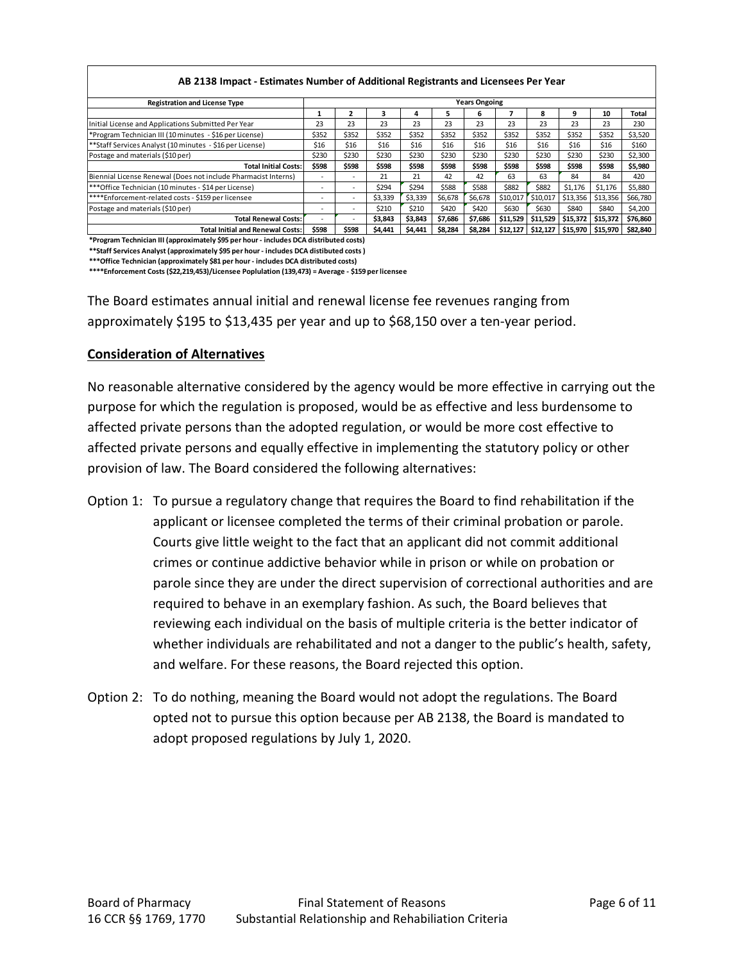| AB 2138 Impact - Estimates Number of Additional Registrants and Licensees Per Year |                          |       |         |         |         |         |          |                     |          |          |          |
|------------------------------------------------------------------------------------|--------------------------|-------|---------|---------|---------|---------|----------|---------------------|----------|----------|----------|
| <b>Registration and License Type</b>                                               | <b>Years Ongoing</b>     |       |         |         |         |         |          |                     |          |          |          |
|                                                                                    |                          | ,     |         | д       | ъ.      | 6       |          | 8                   | 9        | 10       | Total    |
| Initial License and Applications Submitted Per Year                                | 23                       | 23    | 23      | 23      | 23      | 23      | 23       | 23                  | 23       | 23       | 230      |
| *Program Technician III (10 minutes - \$16 per License)                            | \$352                    | \$352 | \$352   | \$352   | \$352   | \$352   | \$352    | \$352               | \$352    | \$352    | \$3,520  |
| **Staff Services Analyst (10 minutes - \$16 per License)                           | \$16                     | \$16  | \$16    | \$16    | \$16    | \$16    | \$16     | \$16                | \$16     | \$16     | \$160    |
| Postage and materials (\$10 per)                                                   | \$230                    | \$230 | \$230   | \$230   | \$230   | \$230   | \$230    | \$230               | \$230    | \$230    | \$2,300  |
| <b>Total Initial Costs:</b>                                                        | \$598                    | \$598 | \$598   | \$598   | \$598   | \$598   | \$598    | \$598               | \$598    | \$598    | \$5,980  |
| Biennial License Renewal (Does not include Pharmacist Interns)                     |                          |       | 21      | 21      | 42      | 42      | 63       | 63                  | 84       | 84       | 420      |
| *** Office Technician (10 minutes - \$14 per License)                              |                          |       | \$294   | \$294   | \$588   | \$588   | \$882    | \$882               | \$1,176  | \$1,176  | \$5,880  |
| ****Enforcement-related costs - \$159 per licensee                                 | $\overline{\phantom{a}}$ | ٠     | \$3,339 | \$3,339 | \$6,678 | \$6,678 | \$10,017 | \$10,017            | \$13,356 | \$13,356 | \$66,780 |
| Postage and materials (\$10 per)                                                   |                          | -     | \$210   | \$210   | \$420   | \$420   | \$630    | \$630               | \$840    | \$840    | \$4,200  |
| <b>Total Renewal Costs:</b>                                                        |                          |       | \$3,843 | \$3,843 | \$7,686 | \$7,686 |          | \$11,529   \$11,529 | \$15,372 | \$15,372 | \$76,860 |
| <b>Total Initial and Renewal Costs:</b>                                            | \$598                    | \$598 | \$4,441 | \$4,441 | \$8,284 | \$8,284 | \$12,127 | \$12,127            | \$15,970 | \$15,970 | \$82,840 |

**\*Program Technician III (approximately \$95 per hour - includes DCA distributed costs)**

**\*\*Staff Services Analyst (approximately \$95 per hour - includes DCA distibuted costs )**

**\*\*\*Office Technician (approximately \$81 per hour - includes DCA distributed costs)**

**\*\*\*\*Enforcement Costs (\$22,219,453)/Licensee Poplulation (139,473) = Average - \$159 per licensee**

The Board estimates annual initial and renewal license fee revenues ranging from approximately \$195 to \$13,435 per year and up to \$68,150 over a ten-year period.

#### **Consideration of Alternatives**

No reasonable alternative considered by the agency would be more effective in carrying out the purpose for which the regulation is proposed, would be as effective and less burdensome to affected private persons than the adopted regulation, or would be more cost effective to affected private persons and equally effective in implementing the statutory policy or other provision of law. The Board considered the following alternatives:

- Option 1: To pursue a regulatory change that requires the Board to find rehabilitation if the applicant or licensee completed the terms of their criminal probation or parole. Courts give little weight to the fact that an applicant did not commit additional crimes or continue addictive behavior while in prison or while on probation or parole since they are under the direct supervision of correctional authorities and are required to behave in an exemplary fashion. As such, the Board believes that reviewing each individual on the basis of multiple criteria is the better indicator of whether individuals are rehabilitated and not a danger to the public's health, safety, and welfare. For these reasons, the Board rejected this option.
- Option 2: To do nothing, meaning the Board would not adopt the regulations. The Board opted not to pursue this option because per AB 2138, the Board is mandated to adopt proposed regulations by July 1, 2020.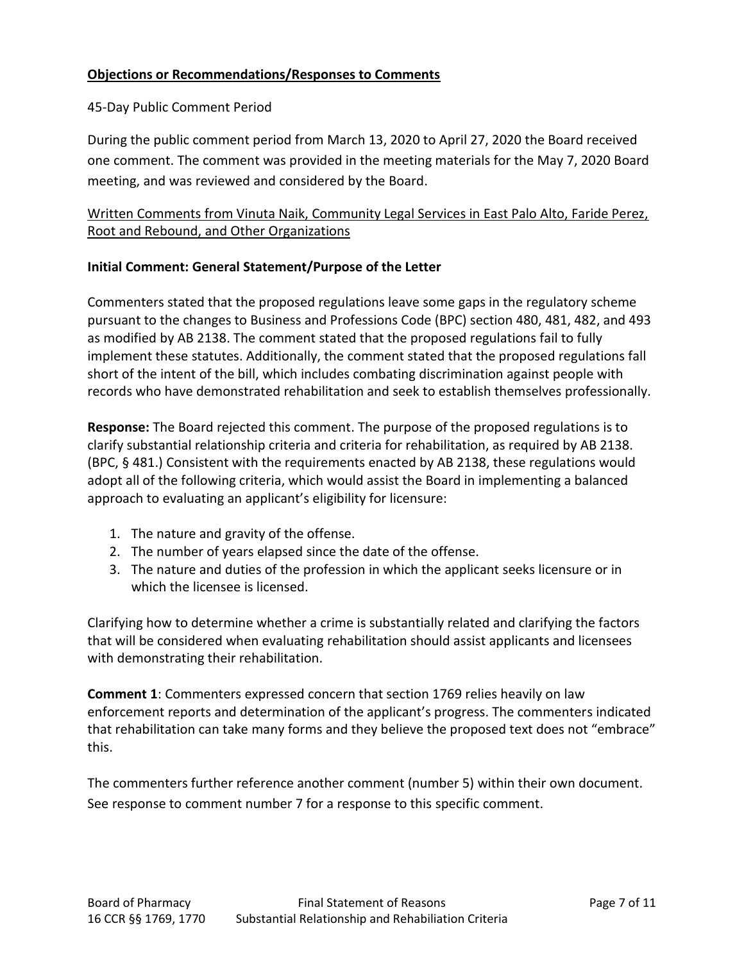## **Objections or Recommendations/Responses to Comments**

#### 45-Day Public Comment Period

During the public comment period from March 13, 2020 to April 27, 2020 the Board received one comment. The comment was provided in the meeting materials for the May 7, 2020 Board meeting, and was reviewed and considered by the Board.

# Written Comments from Vinuta Naik, Community Legal Services in East Palo Alto, Faride Perez, Root and Rebound, and Other Organizations

#### **Initial Comment: General Statement/Purpose of the Letter**

Commenters stated that the proposed regulations leave some gaps in the regulatory scheme pursuant to the changes to Business and Professions Code (BPC) section 480, 481, 482, and 493 as modified by AB 2138. The comment stated that the proposed regulations fail to fully implement these statutes. Additionally, the comment stated that the proposed regulations fall short of the intent of the bill, which includes combating discrimination against people with records who have demonstrated rehabilitation and seek to establish themselves professionally.

**Response:** The Board rejected this comment. The purpose of the proposed regulations is to clarify substantial relationship criteria and criteria for rehabilitation, as required by AB 2138. (BPC, § 481.) Consistent with the requirements enacted by AB 2138, these regulations would adopt all of the following criteria, which would assist the Board in implementing a balanced approach to evaluating an applicant's eligibility for licensure:

- 1. The nature and gravity of the offense.
- 2. The number of years elapsed since the date of the offense.
- 3. The nature and duties of the profession in which the applicant seeks licensure or in which the licensee is licensed.

Clarifying how to determine whether a crime is substantially related and clarifying the factors that will be considered when evaluating rehabilitation should assist applicants and licensees with demonstrating their rehabilitation.

**Comment 1**: Commenters expressed concern that section 1769 relies heavily on law enforcement reports and determination of the applicant's progress. The commenters indicated that rehabilitation can take many forms and they believe the proposed text does not "embrace" this.

The commenters further reference another comment (number 5) within their own document. See response to comment number 7 for a response to this specific comment.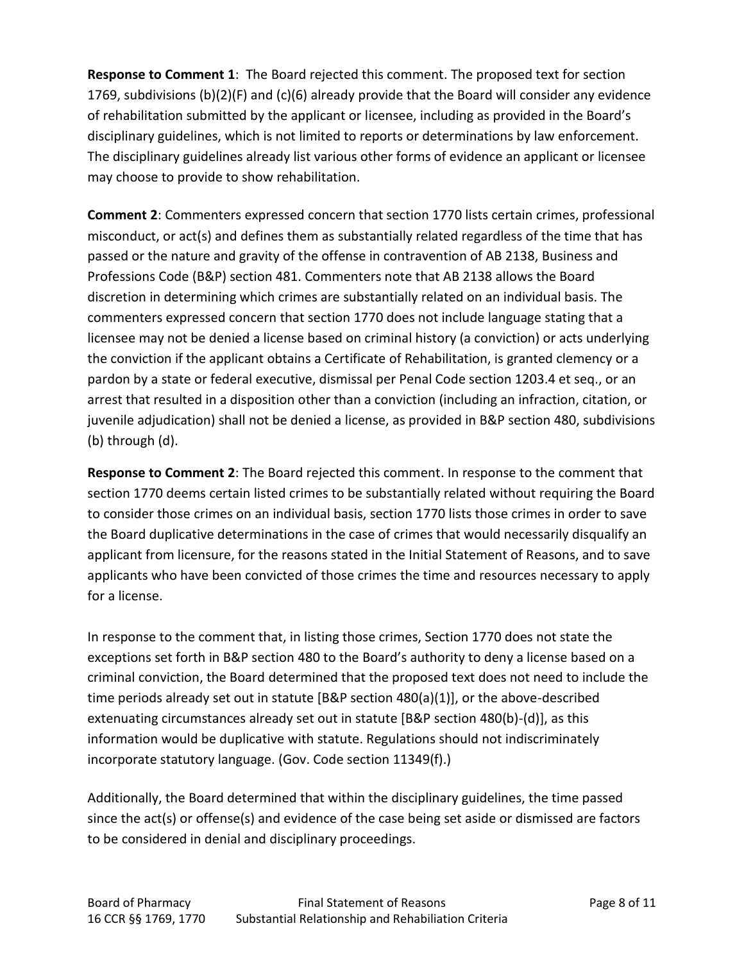**Response to Comment 1**: The Board rejected this comment. The proposed text for section 1769, subdivisions (b)(2)(F) and (c)(6) already provide that the Board will consider any evidence of rehabilitation submitted by the applicant or licensee, including as provided in the Board's disciplinary guidelines, which is not limited to reports or determinations by law enforcement. The disciplinary guidelines already list various other forms of evidence an applicant or licensee may choose to provide to show rehabilitation.

**Comment 2**: Commenters expressed concern that section 1770 lists certain crimes, professional misconduct, or act(s) and defines them as substantially related regardless of the time that has passed or the nature and gravity of the offense in contravention of AB 2138, Business and Professions Code (B&P) section 481. Commenters note that AB 2138 allows the Board discretion in determining which crimes are substantially related on an individual basis. The commenters expressed concern that section 1770 does not include language stating that a licensee may not be denied a license based on criminal history (a conviction) or acts underlying the conviction if the applicant obtains a Certificate of Rehabilitation, is granted clemency or a pardon by a state or federal executive, dismissal per Penal Code section 1203.4 et seq., or an arrest that resulted in a disposition other than a conviction (including an infraction, citation, or juvenile adjudication) shall not be denied a license, as provided in B&P section 480, subdivisions (b) through (d).

**Response to Comment 2**: The Board rejected this comment. In response to the comment that section 1770 deems certain listed crimes to be substantially related without requiring the Board to consider those crimes on an individual basis, section 1770 lists those crimes in order to save the Board duplicative determinations in the case of crimes that would necessarily disqualify an applicant from licensure, for the reasons stated in the Initial Statement of Reasons, and to save applicants who have been convicted of those crimes the time and resources necessary to apply for a license.

In response to the comment that, in listing those crimes, Section 1770 does not state the exceptions set forth in B&P section 480 to the Board's authority to deny a license based on a criminal conviction, the Board determined that the proposed text does not need to include the time periods already set out in statute [B&P section 480(a)(1)], or the above-described extenuating circumstances already set out in statute [B&P section 480(b)-(d)], as this information would be duplicative with statute. Regulations should not indiscriminately incorporate statutory language. (Gov. Code section 11349(f).)

Additionally, the Board determined that within the disciplinary guidelines, the time passed since the act(s) or offense(s) and evidence of the case being set aside or dismissed are factors to be considered in denial and disciplinary proceedings.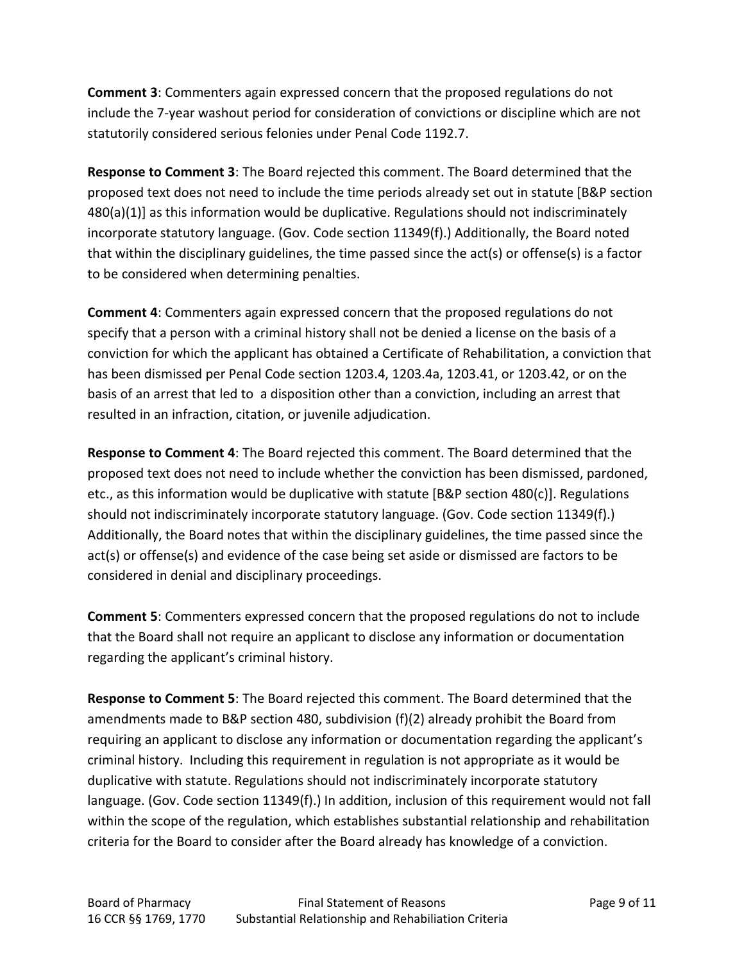**Comment 3**: Commenters again expressed concern that the proposed regulations do not include the 7-year washout period for consideration of convictions or discipline which are not statutorily considered serious felonies under Penal Code 1192.7.

**Response to Comment 3**: The Board rejected this comment. The Board determined that the proposed text does not need to include the time periods already set out in statute [B&P section 480(a)(1)] as this information would be duplicative. Regulations should not indiscriminately incorporate statutory language. (Gov. Code section 11349(f).) Additionally, the Board noted that within the disciplinary guidelines, the time passed since the act(s) or offense(s) is a factor to be considered when determining penalties.

**Comment 4**: Commenters again expressed concern that the proposed regulations do not specify that a person with a criminal history shall not be denied a license on the basis of a conviction for which the applicant has obtained a Certificate of Rehabilitation, a conviction that has been dismissed per Penal Code section 1203.4, 1203.4a, 1203.41, or 1203.42, or on the basis of an arrest that led to a disposition other than a conviction, including an arrest that resulted in an infraction, citation, or juvenile adjudication.

**Response to Comment 4**: The Board rejected this comment. The Board determined that the proposed text does not need to include whether the conviction has been dismissed, pardoned, etc., as this information would be duplicative with statute [B&P section 480(c)]. Regulations should not indiscriminately incorporate statutory language. (Gov. Code section 11349(f).) Additionally, the Board notes that within the disciplinary guidelines, the time passed since the act(s) or offense(s) and evidence of the case being set aside or dismissed are factors to be considered in denial and disciplinary proceedings.

**Comment 5**: Commenters expressed concern that the proposed regulations do not to include that the Board shall not require an applicant to disclose any information or documentation regarding the applicant's criminal history.

**Response to Comment 5**: The Board rejected this comment. The Board determined that the amendments made to B&P section 480, subdivision (f)(2) already prohibit the Board from requiring an applicant to disclose any information or documentation regarding the applicant's criminal history. Including this requirement in regulation is not appropriate as it would be duplicative with statute. Regulations should not indiscriminately incorporate statutory language. (Gov. Code section 11349(f).) In addition, inclusion of this requirement would not fall within the scope of the regulation, which establishes substantial relationship and rehabilitation criteria for the Board to consider after the Board already has knowledge of a conviction.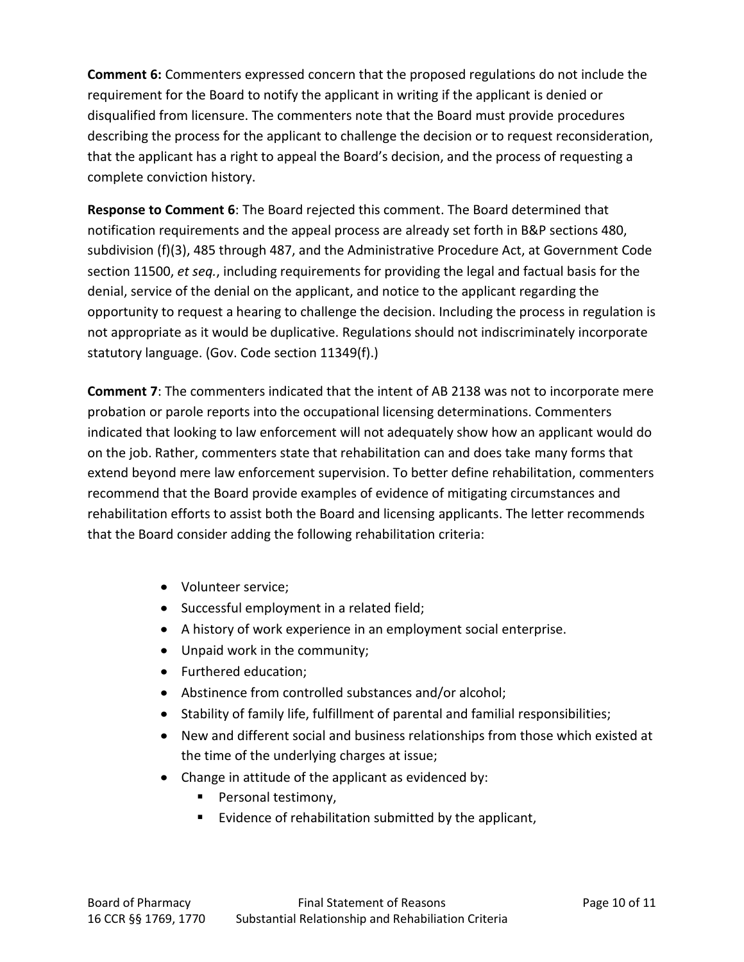**Comment 6:** Commenters expressed concern that the proposed regulations do not include the requirement for the Board to notify the applicant in writing if the applicant is denied or disqualified from licensure. The commenters note that the Board must provide procedures describing the process for the applicant to challenge the decision or to request reconsideration, that the applicant has a right to appeal the Board's decision, and the process of requesting a complete conviction history.

**Response to Comment 6**: The Board rejected this comment. The Board determined that notification requirements and the appeal process are already set forth in B&P sections 480, subdivision (f)(3), 485 through 487, and the Administrative Procedure Act, at Government Code section 11500, *et seq.*, including requirements for providing the legal and factual basis for the denial, service of the denial on the applicant, and notice to the applicant regarding the opportunity to request a hearing to challenge the decision. Including the process in regulation is not appropriate as it would be duplicative. Regulations should not indiscriminately incorporate statutory language. (Gov. Code section 11349(f).)

**Comment 7**: The commenters indicated that the intent of AB 2138 was not to incorporate mere probation or parole reports into the occupational licensing determinations. Commenters indicated that looking to law enforcement will not adequately show how an applicant would do on the job. Rather, commenters state that rehabilitation can and does take many forms that extend beyond mere law enforcement supervision. To better define rehabilitation, commenters recommend that the Board provide examples of evidence of mitigating circumstances and rehabilitation efforts to assist both the Board and licensing applicants. The letter recommends that the Board consider adding the following rehabilitation criteria:

- Volunteer service;
- Successful employment in a related field;
- A history of work experience in an employment social enterprise.
- Unpaid work in the community;
- Furthered education;
- Abstinence from controlled substances and/or alcohol;
- Stability of family life, fulfillment of parental and familial responsibilities;
- New and different social and business relationships from those which existed at the time of the underlying charges at issue;
- Change in attitude of the applicant as evidenced by:
	- Personal testimony,
	- Evidence of rehabilitation submitted by the applicant,